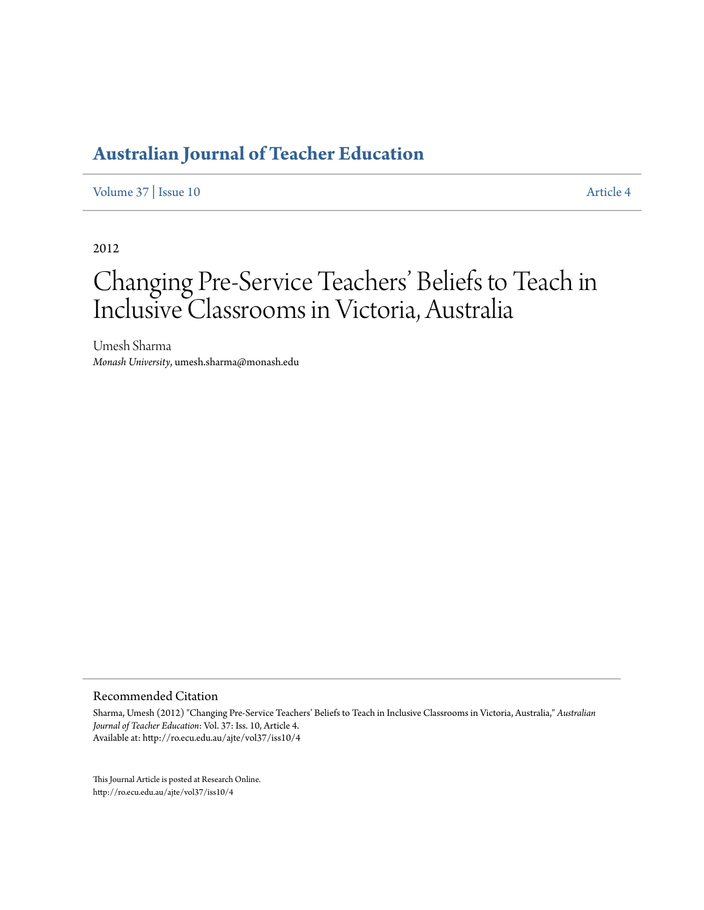[Volume 37](http://ro.ecu.edu.au/ajte/vol37) | [Issue 10](http://ro.ecu.edu.au/ajte/vol37/iss10) [Article 4](http://ro.ecu.edu.au/ajte/vol37/iss10/4)

2012

# Changing Pre-Service Teachers' Beliefs to Teach in Inclusive Classrooms in Victoria, Australia

Umesh Sharma *Monash University*, umesh.sharma@monash.edu

Recommended Citation

Sharma, Umesh (2012) "Changing Pre-Service Teachers' Beliefs to Teach in Inclusive Classrooms in Victoria, Australia," *Australian Journal of Teacher Education*: Vol. 37: Iss. 10, Article 4. Available at: http://ro.ecu.edu.au/ajte/vol37/iss10/4

This Journal Article is posted at Research Online. http://ro.ecu.edu.au/ajte/vol37/iss10/4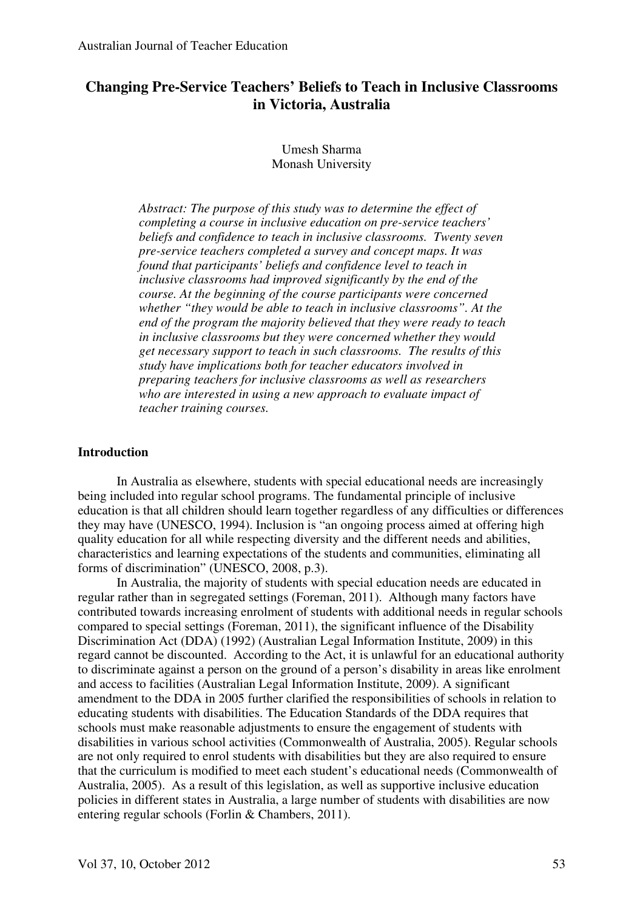## **Changing Pre-Service Teachers' Beliefs to Teach in Inclusive Classrooms in Victoria, Australia**

## Umesh Sharma Monash University

*Abstract: The purpose of this study was to determine the effect of completing a course in inclusive education on pre-service teachers' beliefs and confidence to teach in inclusive classrooms. Twenty seven pre-service teachers completed a survey and concept maps. It was found that participants' beliefs and confidence level to teach in inclusive classrooms had improved significantly by the end of the course. At the beginning of the course participants were concerned whether "they would be able to teach in inclusive classrooms". At the end of the program the majority believed that they were ready to teach in inclusive classrooms but they were concerned whether they would get necessary support to teach in such classrooms. The results of this study have implications both for teacher educators involved in preparing teachers for inclusive classrooms as well as researchers who are interested in using a new approach to evaluate impact of teacher training courses.* 

## **Introduction**

In Australia as elsewhere, students with special educational needs are increasingly being included into regular school programs. The fundamental principle of inclusive education is that all children should learn together regardless of any difficulties or differences they may have (UNESCO, 1994). Inclusion is "an ongoing process aimed at offering high quality education for all while respecting diversity and the different needs and abilities, characteristics and learning expectations of the students and communities, eliminating all forms of discrimination" (UNESCO, 2008, p.3).

In Australia, the majority of students with special education needs are educated in regular rather than in segregated settings (Foreman, 2011). Although many factors have contributed towards increasing enrolment of students with additional needs in regular schools compared to special settings (Foreman, 2011), the significant influence of the Disability Discrimination Act (DDA) (1992) (Australian Legal Information Institute, 2009) in this regard cannot be discounted. According to the Act, it is unlawful for an educational authority to discriminate against a person on the ground of a person's disability in areas like enrolment and access to facilities (Australian Legal Information Institute, 2009). A significant amendment to the DDA in 2005 further clarified the responsibilities of schools in relation to educating students with disabilities. The Education Standards of the DDA requires that schools must make reasonable adjustments to ensure the engagement of students with disabilities in various school activities (Commonwealth of Australia, 2005). Regular schools are not only required to enrol students with disabilities but they are also required to ensure that the curriculum is modified to meet each student's educational needs (Commonwealth of Australia, 2005). As a result of this legislation, as well as supportive inclusive education policies in different states in Australia, a large number of students with disabilities are now entering regular schools (Forlin & Chambers, 2011).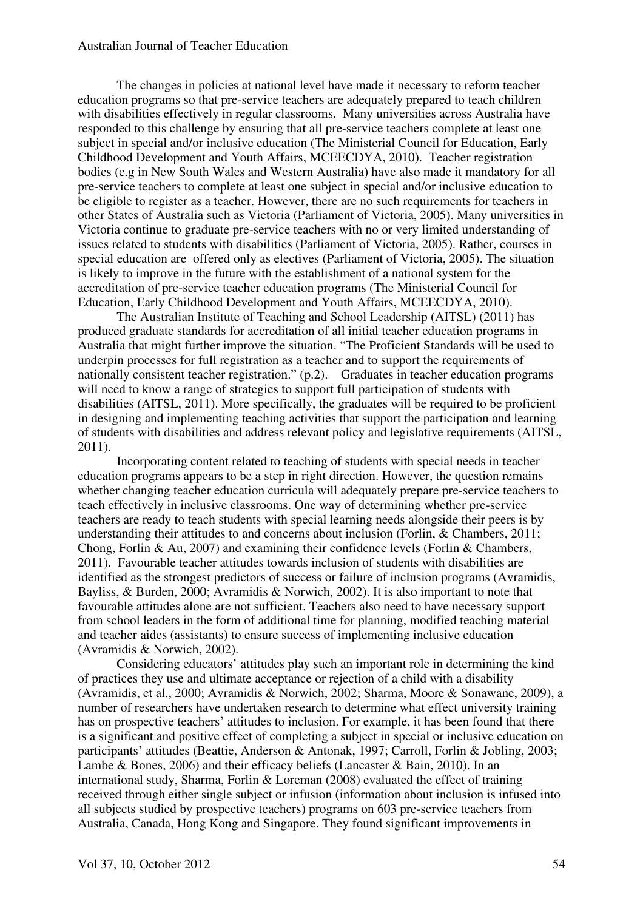The changes in policies at national level have made it necessary to reform teacher education programs so that pre-service teachers are adequately prepared to teach children with disabilities effectively in regular classrooms. Many universities across Australia have responded to this challenge by ensuring that all pre-service teachers complete at least one subject in special and/or inclusive education (The Ministerial Council for Education, Early Childhood Development and Youth Affairs, MCEECDYA, 2010). Teacher registration bodies (e.g in New South Wales and Western Australia) have also made it mandatory for all pre-service teachers to complete at least one subject in special and/or inclusive education to be eligible to register as a teacher. However, there are no such requirements for teachers in other States of Australia such as Victoria (Parliament of Victoria, 2005). Many universities in Victoria continue to graduate pre-service teachers with no or very limited understanding of issues related to students with disabilities (Parliament of Victoria, 2005). Rather, courses in special education are offered only as electives (Parliament of Victoria, 2005). The situation is likely to improve in the future with the establishment of a national system for the accreditation of pre-service teacher education programs (The Ministerial Council for Education, Early Childhood Development and Youth Affairs, MCEECDYA, 2010).

 The Australian Institute of Teaching and School Leadership (AITSL) (2011) has produced graduate standards for accreditation of all initial teacher education programs in Australia that might further improve the situation. "The Proficient Standards will be used to underpin processes for full registration as a teacher and to support the requirements of nationally consistent teacher registration." (p.2). Graduates in teacher education programs will need to know a range of strategies to support full participation of students with disabilities (AITSL, 2011). More specifically, the graduates will be required to be proficient in designing and implementing teaching activities that support the participation and learning of students with disabilities and address relevant policy and legislative requirements (AITSL, 2011).

Incorporating content related to teaching of students with special needs in teacher education programs appears to be a step in right direction. However, the question remains whether changing teacher education curricula will adequately prepare pre-service teachers to teach effectively in inclusive classrooms. One way of determining whether pre-service teachers are ready to teach students with special learning needs alongside their peers is by understanding their attitudes to and concerns about inclusion (Forlin, & Chambers, 2011; Chong, Forlin & Au, 2007) and examining their confidence levels (Forlin & Chambers, 2011). Favourable teacher attitudes towards inclusion of students with disabilities are identified as the strongest predictors of success or failure of inclusion programs (Avramidis, Bayliss, & Burden, 2000; Avramidis & Norwich, 2002). It is also important to note that favourable attitudes alone are not sufficient. Teachers also need to have necessary support from school leaders in the form of additional time for planning, modified teaching material and teacher aides (assistants) to ensure success of implementing inclusive education (Avramidis & Norwich, 2002).

 Considering educators' attitudes play such an important role in determining the kind of practices they use and ultimate acceptance or rejection of a child with a disability (Avramidis, et al., 2000; Avramidis & Norwich, 2002; Sharma, Moore & Sonawane, 2009), a number of researchers have undertaken research to determine what effect university training has on prospective teachers' attitudes to inclusion. For example, it has been found that there is a significant and positive effect of completing a subject in special or inclusive education on participants' attitudes (Beattie, Anderson & Antonak, 1997; Carroll, Forlin & Jobling, 2003; Lambe & Bones, 2006) and their efficacy beliefs (Lancaster & Bain, 2010). In an international study, Sharma, Forlin & Loreman (2008) evaluated the effect of training received through either single subject or infusion (information about inclusion is infused into all subjects studied by prospective teachers) programs on 603 pre-service teachers from Australia, Canada, Hong Kong and Singapore. They found significant improvements in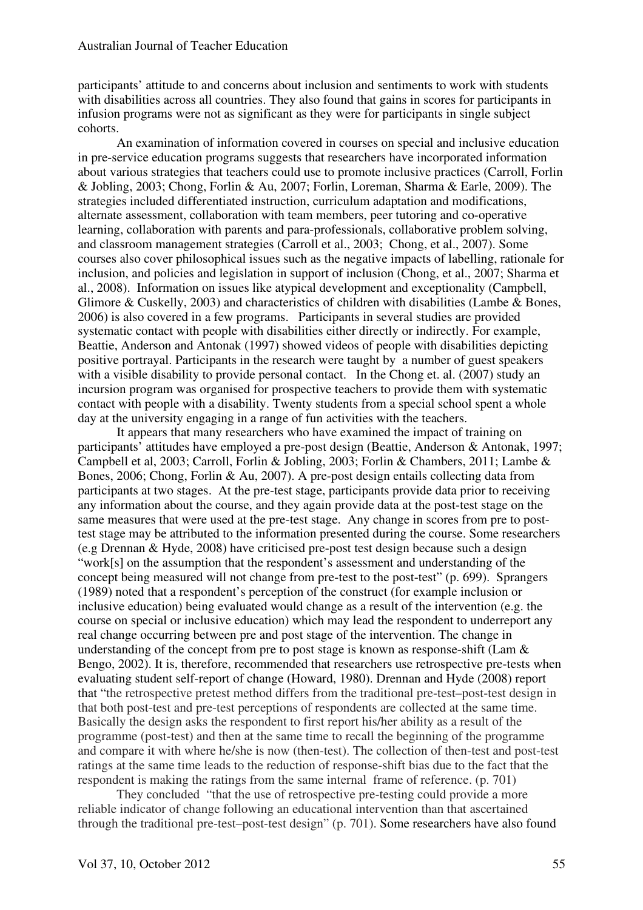participants' attitude to and concerns about inclusion and sentiments to work with students with disabilities across all countries. They also found that gains in scores for participants in infusion programs were not as significant as they were for participants in single subject cohorts.

An examination of information covered in courses on special and inclusive education in pre-service education programs suggests that researchers have incorporated information about various strategies that teachers could use to promote inclusive practices (Carroll, Forlin & Jobling, 2003; Chong, Forlin & Au, 2007; Forlin, Loreman, Sharma & Earle, 2009). The strategies included differentiated instruction, curriculum adaptation and modifications, alternate assessment, collaboration with team members, peer tutoring and co-operative learning, collaboration with parents and para-professionals, collaborative problem solving, and classroom management strategies (Carroll et al., 2003; Chong, et al., 2007). Some courses also cover philosophical issues such as the negative impacts of labelling, rationale for inclusion, and policies and legislation in support of inclusion (Chong, et al., 2007; Sharma et al., 2008). Information on issues like atypical development and exceptionality (Campbell, Glimore & Cuskelly, 2003) and characteristics of children with disabilities (Lambe  $\&$  Bones, 2006) is also covered in a few programs. Participants in several studies are provided systematic contact with people with disabilities either directly or indirectly. For example, Beattie, Anderson and Antonak (1997) showed videos of people with disabilities depicting positive portrayal. Participants in the research were taught by a number of guest speakers with a visible disability to provide personal contact. In the Chong et. al. (2007) study an incursion program was organised for prospective teachers to provide them with systematic contact with people with a disability. Twenty students from a special school spent a whole day at the university engaging in a range of fun activities with the teachers.

It appears that many researchers who have examined the impact of training on participants' attitudes have employed a pre-post design (Beattie, Anderson & Antonak, 1997; Campbell et al, 2003; Carroll, Forlin & Jobling, 2003; Forlin & Chambers, 2011; Lambe & Bones, 2006; Chong, Forlin & Au, 2007). A pre-post design entails collecting data from participants at two stages. At the pre-test stage, participants provide data prior to receiving any information about the course, and they again provide data at the post-test stage on the same measures that were used at the pre-test stage. Any change in scores from pre to posttest stage may be attributed to the information presented during the course. Some researchers (e.g Drennan & Hyde, 2008) have criticised pre-post test design because such a design "work[s] on the assumption that the respondent's assessment and understanding of the concept being measured will not change from pre-test to the post-test" (p. 699). Sprangers (1989) noted that a respondent's perception of the construct (for example inclusion or inclusive education) being evaluated would change as a result of the intervention (e.g. the course on special or inclusive education) which may lead the respondent to underreport any real change occurring between pre and post stage of the intervention. The change in understanding of the concept from pre to post stage is known as response-shift (Lam & Bengo, 2002). It is, therefore, recommended that researchers use retrospective pre-tests when evaluating student self-report of change (Howard, 1980). Drennan and Hyde (2008) report that "the retrospective pretest method differs from the traditional pre-test–post-test design in that both post-test and pre-test perceptions of respondents are collected at the same time. Basically the design asks the respondent to first report his/her ability as a result of the programme (post-test) and then at the same time to recall the beginning of the programme and compare it with where he/she is now (then-test). The collection of then-test and post-test ratings at the same time leads to the reduction of response-shift bias due to the fact that the respondent is making the ratings from the same internal frame of reference. (p. 701)

They concluded "that the use of retrospective pre-testing could provide a more reliable indicator of change following an educational intervention than that ascertained through the traditional pre-test–post-test design" (p. 701). Some researchers have also found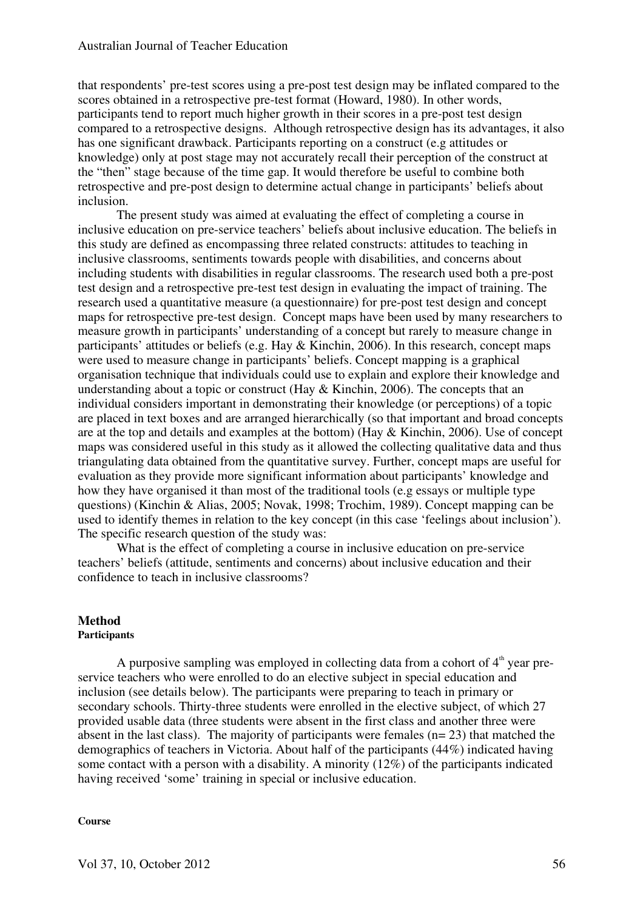that respondents' pre-test scores using a pre-post test design may be inflated compared to the scores obtained in a retrospective pre-test format (Howard, 1980). In other words, participants tend to report much higher growth in their scores in a pre-post test design compared to a retrospective designs. Although retrospective design has its advantages, it also has one significant drawback. Participants reporting on a construct (e.g attitudes or knowledge) only at post stage may not accurately recall their perception of the construct at the "then" stage because of the time gap. It would therefore be useful to combine both retrospective and pre-post design to determine actual change in participants' beliefs about inclusion.

The present study was aimed at evaluating the effect of completing a course in inclusive education on pre-service teachers' beliefs about inclusive education. The beliefs in this study are defined as encompassing three related constructs: attitudes to teaching in inclusive classrooms, sentiments towards people with disabilities, and concerns about including students with disabilities in regular classrooms. The research used both a pre-post test design and a retrospective pre-test test design in evaluating the impact of training. The research used a quantitative measure (a questionnaire) for pre-post test design and concept maps for retrospective pre-test design. Concept maps have been used by many researchers to measure growth in participants' understanding of a concept but rarely to measure change in participants' attitudes or beliefs (e.g. Hay & Kinchin, 2006). In this research, concept maps were used to measure change in participants' beliefs. Concept mapping is a graphical organisation technique that individuals could use to explain and explore their knowledge and understanding about a topic or construct (Hay  $&$  Kinchin, 2006). The concepts that an individual considers important in demonstrating their knowledge (or perceptions) of a topic are placed in text boxes and are arranged hierarchically (so that important and broad concepts are at the top and details and examples at the bottom) (Hay & Kinchin, 2006). Use of concept maps was considered useful in this study as it allowed the collecting qualitative data and thus triangulating data obtained from the quantitative survey. Further, concept maps are useful for evaluation as they provide more significant information about participants' knowledge and how they have organised it than most of the traditional tools (e.g essays or multiple type questions) (Kinchin & Alias, 2005; Novak, 1998; Trochim, 1989). Concept mapping can be used to identify themes in relation to the key concept (in this case 'feelings about inclusion'). The specific research question of the study was:

What is the effect of completing a course in inclusive education on pre-service teachers' beliefs (attitude, sentiments and concerns) about inclusive education and their confidence to teach in inclusive classrooms?

## **Method**

## **Participants**

A purposive sampling was employed in collecting data from a cohort of  $4<sup>th</sup>$  year preservice teachers who were enrolled to do an elective subject in special education and inclusion (see details below). The participants were preparing to teach in primary or secondary schools. Thirty-three students were enrolled in the elective subject, of which 27 provided usable data (three students were absent in the first class and another three were absent in the last class). The majority of participants were females (n= 23) that matched the demographics of teachers in Victoria. About half of the participants (44%) indicated having some contact with a person with a disability. A minority (12%) of the participants indicated having received 'some' training in special or inclusive education.

#### **Course**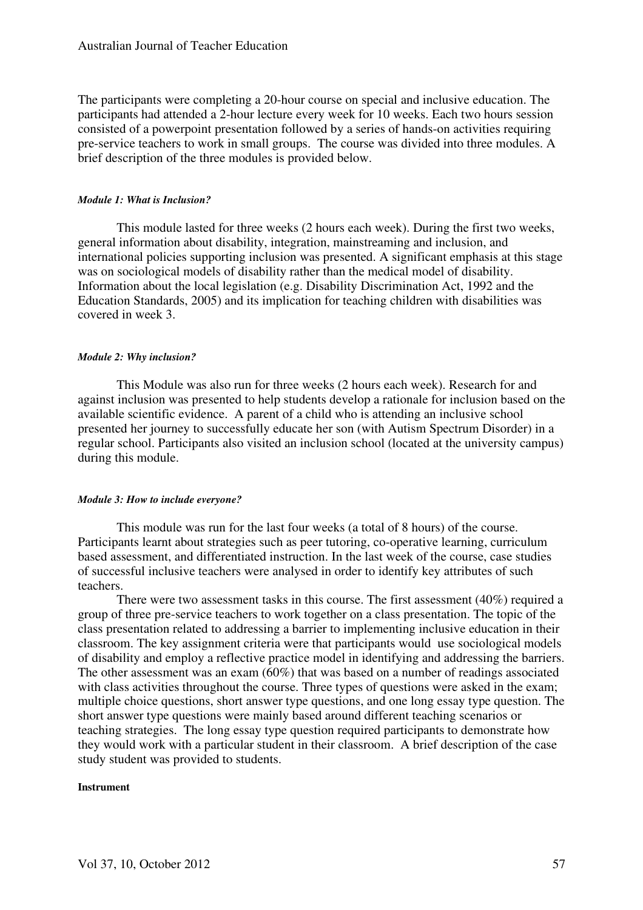The participants were completing a 20-hour course on special and inclusive education. The participants had attended a 2-hour lecture every week for 10 weeks. Each two hours session consisted of a powerpoint presentation followed by a series of hands-on activities requiring pre-service teachers to work in small groups. The course was divided into three modules. A brief description of the three modules is provided below.

#### *Module 1: What is Inclusion?*

This module lasted for three weeks (2 hours each week). During the first two weeks, general information about disability, integration, mainstreaming and inclusion, and international policies supporting inclusion was presented. A significant emphasis at this stage was on sociological models of disability rather than the medical model of disability. Information about the local legislation (e.g. Disability Discrimination Act, 1992 and the Education Standards, 2005) and its implication for teaching children with disabilities was covered in week 3.

#### *Module 2: Why inclusion?*

This Module was also run for three weeks (2 hours each week). Research for and against inclusion was presented to help students develop a rationale for inclusion based on the available scientific evidence. A parent of a child who is attending an inclusive school presented her journey to successfully educate her son (with Autism Spectrum Disorder) in a regular school. Participants also visited an inclusion school (located at the university campus) during this module.

#### *Module 3: How to include everyone?*

This module was run for the last four weeks (a total of 8 hours) of the course. Participants learnt about strategies such as peer tutoring, co-operative learning, curriculum based assessment, and differentiated instruction. In the last week of the course, case studies of successful inclusive teachers were analysed in order to identify key attributes of such teachers.

There were two assessment tasks in this course. The first assessment (40%) required a group of three pre-service teachers to work together on a class presentation. The topic of the class presentation related to addressing a barrier to implementing inclusive education in their classroom. The key assignment criteria were that participants would use sociological models of disability and employ a reflective practice model in identifying and addressing the barriers. The other assessment was an exam (60%) that was based on a number of readings associated with class activities throughout the course. Three types of questions were asked in the exam; multiple choice questions, short answer type questions, and one long essay type question. The short answer type questions were mainly based around different teaching scenarios or teaching strategies. The long essay type question required participants to demonstrate how they would work with a particular student in their classroom. A brief description of the case study student was provided to students.

#### **Instrument**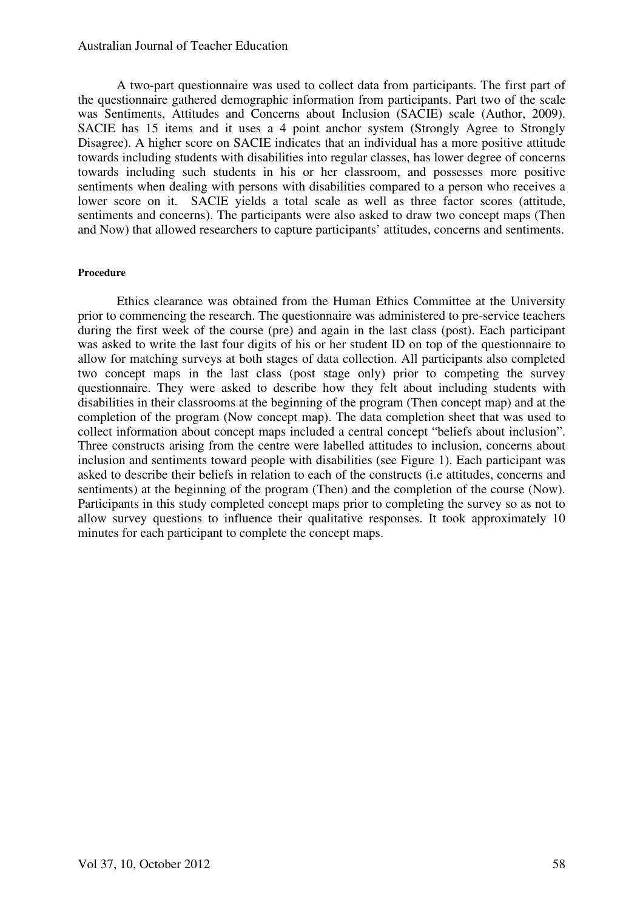A two-part questionnaire was used to collect data from participants. The first part of the questionnaire gathered demographic information from participants. Part two of the scale was Sentiments, Attitudes and Concerns about Inclusion (SACIE) scale (Author, 2009). SACIE has 15 items and it uses a 4 point anchor system (Strongly Agree to Strongly Disagree). A higher score on SACIE indicates that an individual has a more positive attitude towards including students with disabilities into regular classes, has lower degree of concerns towards including such students in his or her classroom, and possesses more positive sentiments when dealing with persons with disabilities compared to a person who receives a lower score on it. SACIE yields a total scale as well as three factor scores (attitude, sentiments and concerns). The participants were also asked to draw two concept maps (Then and Now) that allowed researchers to capture participants' attitudes, concerns and sentiments.

#### **Procedure**

Ethics clearance was obtained from the Human Ethics Committee at the University prior to commencing the research. The questionnaire was administered to pre-service teachers during the first week of the course (pre) and again in the last class (post). Each participant was asked to write the last four digits of his or her student ID on top of the questionnaire to allow for matching surveys at both stages of data collection. All participants also completed two concept maps in the last class (post stage only) prior to competing the survey questionnaire. They were asked to describe how they felt about including students with disabilities in their classrooms at the beginning of the program (Then concept map) and at the completion of the program (Now concept map). The data completion sheet that was used to collect information about concept maps included a central concept "beliefs about inclusion". Three constructs arising from the centre were labelled attitudes to inclusion, concerns about inclusion and sentiments toward people with disabilities (see Figure 1). Each participant was asked to describe their beliefs in relation to each of the constructs (i.e attitudes, concerns and sentiments) at the beginning of the program (Then) and the completion of the course (Now). Participants in this study completed concept maps prior to completing the survey so as not to allow survey questions to influence their qualitative responses. It took approximately 10 minutes for each participant to complete the concept maps.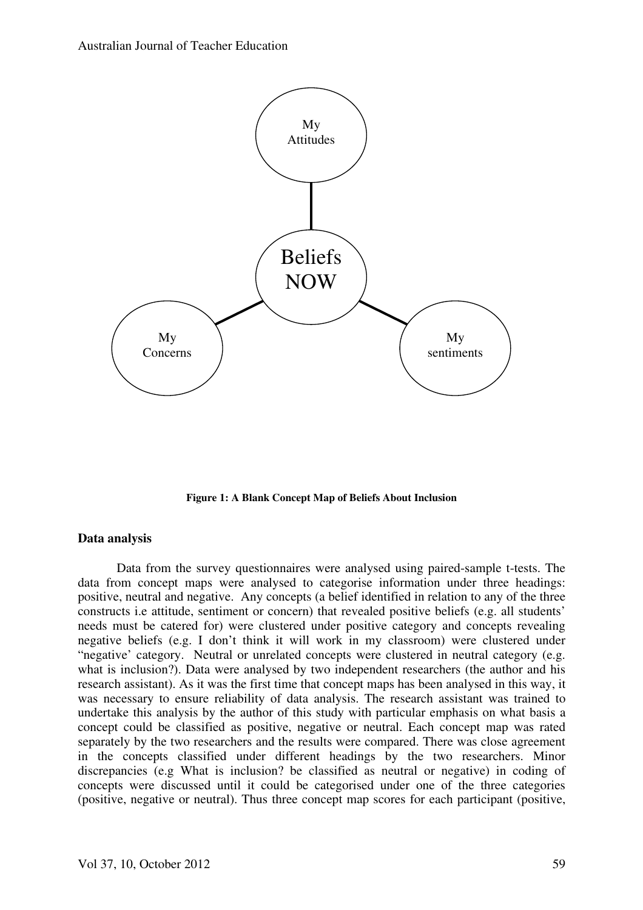

**Figure 1: A Blank Concept Map of Beliefs About Inclusion** 

### **Data analysis**

Data from the survey questionnaires were analysed using paired-sample t-tests. The data from concept maps were analysed to categorise information under three headings: positive, neutral and negative. Any concepts (a belief identified in relation to any of the three constructs i.e attitude, sentiment or concern) that revealed positive beliefs (e.g. all students' needs must be catered for) were clustered under positive category and concepts revealing negative beliefs (e.g. I don't think it will work in my classroom) were clustered under "negative' category. Neutral or unrelated concepts were clustered in neutral category (e.g. what is inclusion?). Data were analysed by two independent researchers (the author and his research assistant). As it was the first time that concept maps has been analysed in this way, it was necessary to ensure reliability of data analysis. The research assistant was trained to undertake this analysis by the author of this study with particular emphasis on what basis a concept could be classified as positive, negative or neutral. Each concept map was rated separately by the two researchers and the results were compared. There was close agreement in the concepts classified under different headings by the two researchers. Minor discrepancies (e.g What is inclusion? be classified as neutral or negative) in coding of concepts were discussed until it could be categorised under one of the three categories (positive, negative or neutral). Thus three concept map scores for each participant (positive,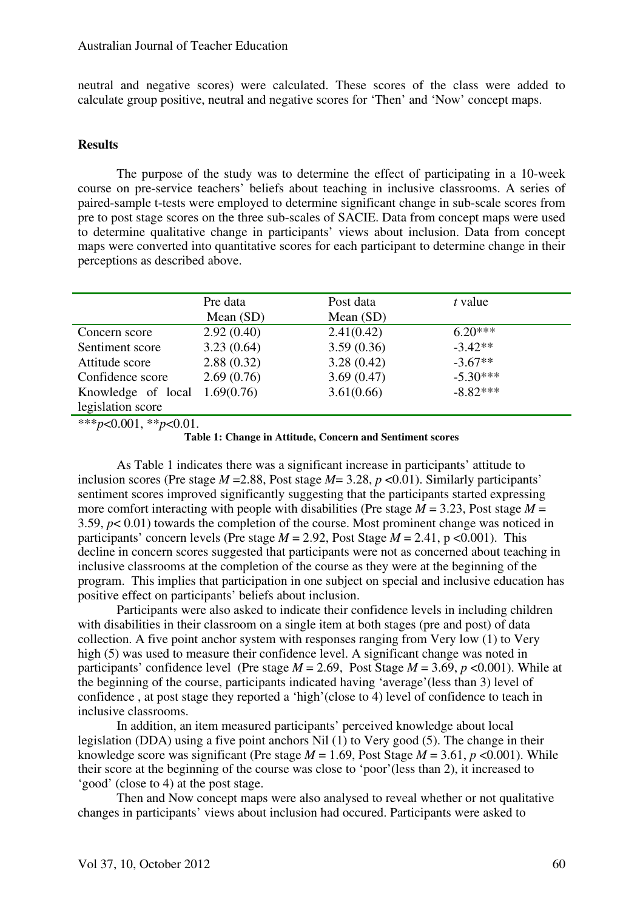neutral and negative scores) were calculated. These scores of the class were added to calculate group positive, neutral and negative scores for 'Then' and 'Now' concept maps.

#### **Results**

The purpose of the study was to determine the effect of participating in a 10-week course on pre-service teachers' beliefs about teaching in inclusive classrooms. A series of paired-sample t-tests were employed to determine significant change in sub-scale scores from pre to post stage scores on the three sub-scales of SACIE. Data from concept maps were used to determine qualitative change in participants' views about inclusion. Data from concept maps were converted into quantitative scores for each participant to determine change in their perceptions as described above.

|                    | Pre data<br>Mean $(SD)$ | Post data<br>Mean $(SD)$ | t value    |
|--------------------|-------------------------|--------------------------|------------|
| Concern score      | 2.92(0.40)              | 2.41(0.42)               | $6.20***$  |
| Sentiment score    | 3.23(0.64)              | 3.59(0.36)               | $-3.42**$  |
| Attitude score     | 2.88(0.32)              | 3.28(0.42)               | $-3.67**$  |
| Confidence score   | 2.69(0.76)              | 3.69(0.47)               | $-5.30***$ |
| Knowledge of local | 1.69(0.76)              | 3.61(0.66)               | $-8.82***$ |
| legislation score  |                         |                          |            |

 $**$ *r*<sub>*p*<0.001, \*\**p*<0.01.</sub>

**Table 1: Change in Attitude, Concern and Sentiment scores**

As Table 1 indicates there was a significant increase in participants' attitude to inclusion scores (Pre stage  $M = 2.88$ , Post stage  $M = 3.28$ ,  $p \le 0.01$ ). Similarly participants' sentiment scores improved significantly suggesting that the participants started expressing more comfort interacting with people with disabilities (Pre stage  $M = 3.23$ , Post stage  $M =$ 3.59, *p*< 0.01) towards the completion of the course. Most prominent change was noticed in participants' concern levels (Pre stage  $M = 2.92$ , Post Stage  $M = 2.41$ , p <0.001). This decline in concern scores suggested that participants were not as concerned about teaching in inclusive classrooms at the completion of the course as they were at the beginning of the program. This implies that participation in one subject on special and inclusive education has positive effect on participants' beliefs about inclusion.

Participants were also asked to indicate their confidence levels in including children with disabilities in their classroom on a single item at both stages (pre and post) of data collection. A five point anchor system with responses ranging from Very low (1) to Very high (5) was used to measure their confidence level. A significant change was noted in participants' confidence level (Pre stage  $M = 2.69$ , Post Stage  $M = 3.69$ ,  $p < 0.001$ ). While at the beginning of the course, participants indicated having 'average'(less than 3) level of confidence , at post stage they reported a 'high'(close to 4) level of confidence to teach in inclusive classrooms.

In addition, an item measured participants' perceived knowledge about local legislation (DDA) using a five point anchors Nil (1) to Very good (5). The change in their knowledge score was significant (Pre stage  $M = 1.69$ , Post Stage  $M = 3.61$ ,  $p \le 0.001$ ). While their score at the beginning of the course was close to 'poor'(less than 2), it increased to 'good' (close to 4) at the post stage.

Then and Now concept maps were also analysed to reveal whether or not qualitative changes in participants' views about inclusion had occured. Participants were asked to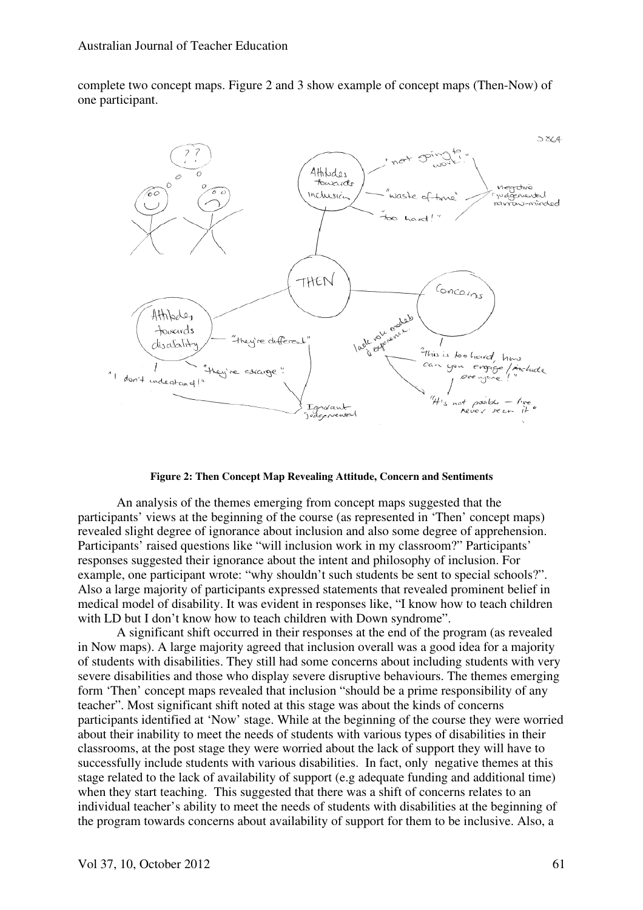complete two concept maps. Figure 2 and 3 show example of concept maps (Then-Now) of one participant.



**Figure 2: Then Concept Map Revealing Attitude, Concern and Sentiments** 

An analysis of the themes emerging from concept maps suggested that the participants' views at the beginning of the course (as represented in 'Then' concept maps) revealed slight degree of ignorance about inclusion and also some degree of apprehension. Participants' raised questions like "will inclusion work in my classroom?" Participants' responses suggested their ignorance about the intent and philosophy of inclusion. For example, one participant wrote: "why shouldn't such students be sent to special schools?". Also a large majority of participants expressed statements that revealed prominent belief in medical model of disability. It was evident in responses like, "I know how to teach children with LD but I don't know how to teach children with Down syndrome".

A significant shift occurred in their responses at the end of the program (as revealed in Now maps). A large majority agreed that inclusion overall was a good idea for a majority of students with disabilities. They still had some concerns about including students with very severe disabilities and those who display severe disruptive behaviours. The themes emerging form 'Then' concept maps revealed that inclusion "should be a prime responsibility of any teacher". Most significant shift noted at this stage was about the kinds of concerns participants identified at 'Now' stage. While at the beginning of the course they were worried about their inability to meet the needs of students with various types of disabilities in their classrooms, at the post stage they were worried about the lack of support they will have to successfully include students with various disabilities. In fact, only negative themes at this stage related to the lack of availability of support (e.g adequate funding and additional time) when they start teaching. This suggested that there was a shift of concerns relates to an individual teacher's ability to meet the needs of students with disabilities at the beginning of the program towards concerns about availability of support for them to be inclusive. Also, a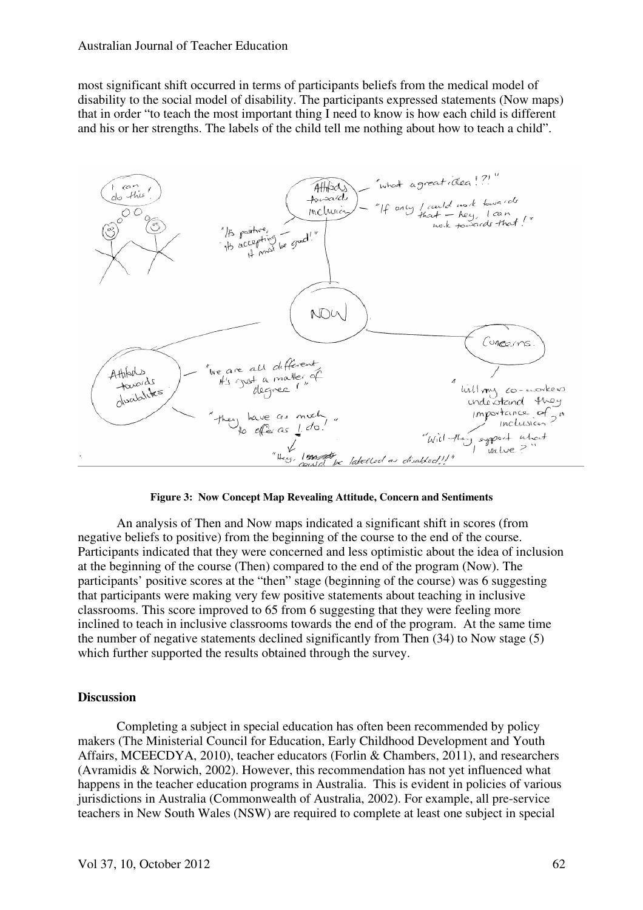most significant shift occurred in terms of participants beliefs from the medical model of disability to the social model of disability. The participants expressed statements (Now maps) that in order "to teach the most important thing I need to know is how each child is different and his or her strengths. The labels of the child tell me nothing about how to teach a child".



**Figure 3: Now Concept Map Revealing Attitude, Concern and Sentiments** 

An analysis of Then and Now maps indicated a significant shift in scores (from negative beliefs to positive) from the beginning of the course to the end of the course. Participants indicated that they were concerned and less optimistic about the idea of inclusion at the beginning of the course (Then) compared to the end of the program (Now). The participants' positive scores at the "then" stage (beginning of the course) was 6 suggesting that participants were making very few positive statements about teaching in inclusive classrooms. This score improved to 65 from 6 suggesting that they were feeling more inclined to teach in inclusive classrooms towards the end of the program. At the same time the number of negative statements declined significantly from Then (34) to Now stage (5) which further supported the results obtained through the survey.

#### **Discussion**

Completing a subject in special education has often been recommended by policy makers (The Ministerial Council for Education, Early Childhood Development and Youth Affairs, MCEECDYA, 2010), teacher educators (Forlin & Chambers, 2011), and researchers (Avramidis & Norwich, 2002). However, this recommendation has not yet influenced what happens in the teacher education programs in Australia. This is evident in policies of various jurisdictions in Australia (Commonwealth of Australia, 2002). For example, all pre-service teachers in New South Wales (NSW) are required to complete at least one subject in special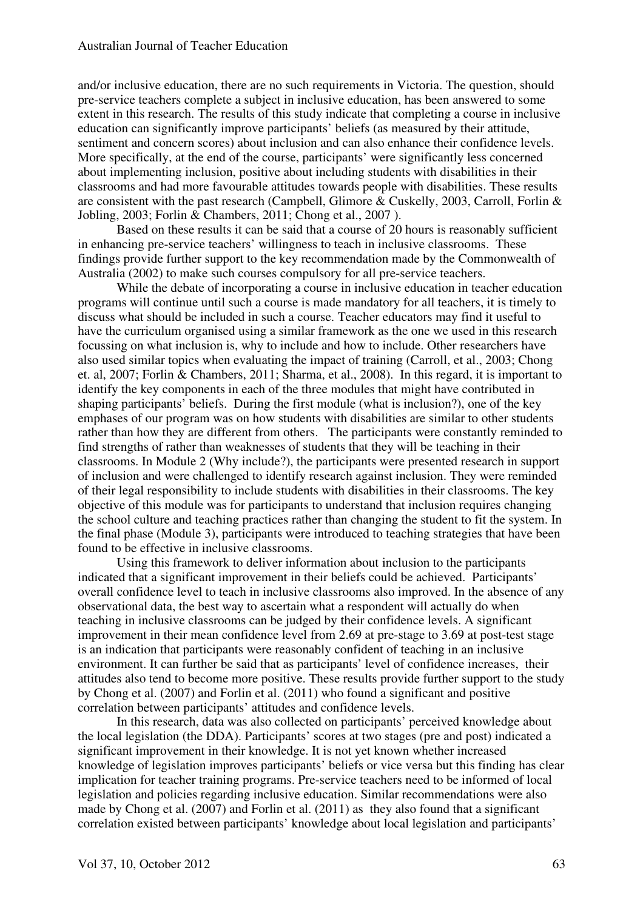and/or inclusive education, there are no such requirements in Victoria. The question, should pre-service teachers complete a subject in inclusive education, has been answered to some extent in this research. The results of this study indicate that completing a course in inclusive education can significantly improve participants' beliefs (as measured by their attitude, sentiment and concern scores) about inclusion and can also enhance their confidence levels. More specifically, at the end of the course, participants' were significantly less concerned about implementing inclusion, positive about including students with disabilities in their classrooms and had more favourable attitudes towards people with disabilities. These results are consistent with the past research (Campbell, Glimore & Cuskelly, 2003, Carroll, Forlin & Jobling, 2003; Forlin & Chambers, 2011; Chong et al., 2007 ).

Based on these results it can be said that a course of 20 hours is reasonably sufficient in enhancing pre-service teachers' willingness to teach in inclusive classrooms. These findings provide further support to the key recommendation made by the Commonwealth of Australia (2002) to make such courses compulsory for all pre-service teachers.

While the debate of incorporating a course in inclusive education in teacher education programs will continue until such a course is made mandatory for all teachers, it is timely to discuss what should be included in such a course. Teacher educators may find it useful to have the curriculum organised using a similar framework as the one we used in this research focussing on what inclusion is, why to include and how to include. Other researchers have also used similar topics when evaluating the impact of training (Carroll, et al., 2003; Chong et. al, 2007; Forlin & Chambers, 2011; Sharma, et al., 2008). In this regard, it is important to identify the key components in each of the three modules that might have contributed in shaping participants' beliefs. During the first module (what is inclusion?), one of the key emphases of our program was on how students with disabilities are similar to other students rather than how they are different from others. The participants were constantly reminded to find strengths of rather than weaknesses of students that they will be teaching in their classrooms. In Module 2 (Why include?), the participants were presented research in support of inclusion and were challenged to identify research against inclusion. They were reminded of their legal responsibility to include students with disabilities in their classrooms. The key objective of this module was for participants to understand that inclusion requires changing the school culture and teaching practices rather than changing the student to fit the system. In the final phase (Module 3), participants were introduced to teaching strategies that have been found to be effective in inclusive classrooms.

Using this framework to deliver information about inclusion to the participants indicated that a significant improvement in their beliefs could be achieved. Participants' overall confidence level to teach in inclusive classrooms also improved. In the absence of any observational data, the best way to ascertain what a respondent will actually do when teaching in inclusive classrooms can be judged by their confidence levels. A significant improvement in their mean confidence level from 2.69 at pre-stage to 3.69 at post-test stage is an indication that participants were reasonably confident of teaching in an inclusive environment. It can further be said that as participants' level of confidence increases, their attitudes also tend to become more positive. These results provide further support to the study by Chong et al. (2007) and Forlin et al. (2011) who found a significant and positive correlation between participants' attitudes and confidence levels.

In this research, data was also collected on participants' perceived knowledge about the local legislation (the DDA). Participants' scores at two stages (pre and post) indicated a significant improvement in their knowledge. It is not yet known whether increased knowledge of legislation improves participants' beliefs or vice versa but this finding has clear implication for teacher training programs. Pre-service teachers need to be informed of local legislation and policies regarding inclusive education. Similar recommendations were also made by Chong et al. (2007) and Forlin et al. (2011) as they also found that a significant correlation existed between participants' knowledge about local legislation and participants'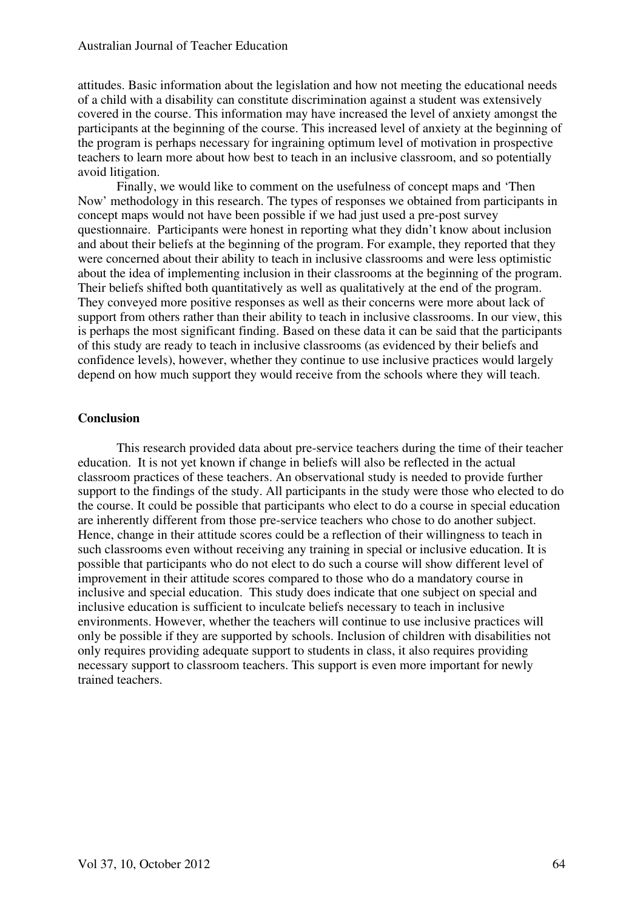attitudes. Basic information about the legislation and how not meeting the educational needs of a child with a disability can constitute discrimination against a student was extensively covered in the course. This information may have increased the level of anxiety amongst the participants at the beginning of the course. This increased level of anxiety at the beginning of the program is perhaps necessary for ingraining optimum level of motivation in prospective teachers to learn more about how best to teach in an inclusive classroom, and so potentially avoid litigation.

Finally, we would like to comment on the usefulness of concept maps and 'Then Now' methodology in this research. The types of responses we obtained from participants in concept maps would not have been possible if we had just used a pre-post survey questionnaire. Participants were honest in reporting what they didn't know about inclusion and about their beliefs at the beginning of the program. For example, they reported that they were concerned about their ability to teach in inclusive classrooms and were less optimistic about the idea of implementing inclusion in their classrooms at the beginning of the program. Their beliefs shifted both quantitatively as well as qualitatively at the end of the program. They conveyed more positive responses as well as their concerns were more about lack of support from others rather than their ability to teach in inclusive classrooms. In our view, this is perhaps the most significant finding. Based on these data it can be said that the participants of this study are ready to teach in inclusive classrooms (as evidenced by their beliefs and confidence levels), however, whether they continue to use inclusive practices would largely depend on how much support they would receive from the schools where they will teach.

## **Conclusion**

This research provided data about pre-service teachers during the time of their teacher education. It is not yet known if change in beliefs will also be reflected in the actual classroom practices of these teachers. An observational study is needed to provide further support to the findings of the study. All participants in the study were those who elected to do the course. It could be possible that participants who elect to do a course in special education are inherently different from those pre-service teachers who chose to do another subject. Hence, change in their attitude scores could be a reflection of their willingness to teach in such classrooms even without receiving any training in special or inclusive education. It is possible that participants who do not elect to do such a course will show different level of improvement in their attitude scores compared to those who do a mandatory course in inclusive and special education. This study does indicate that one subject on special and inclusive education is sufficient to inculcate beliefs necessary to teach in inclusive environments. However, whether the teachers will continue to use inclusive practices will only be possible if they are supported by schools. Inclusion of children with disabilities not only requires providing adequate support to students in class, it also requires providing necessary support to classroom teachers. This support is even more important for newly trained teachers.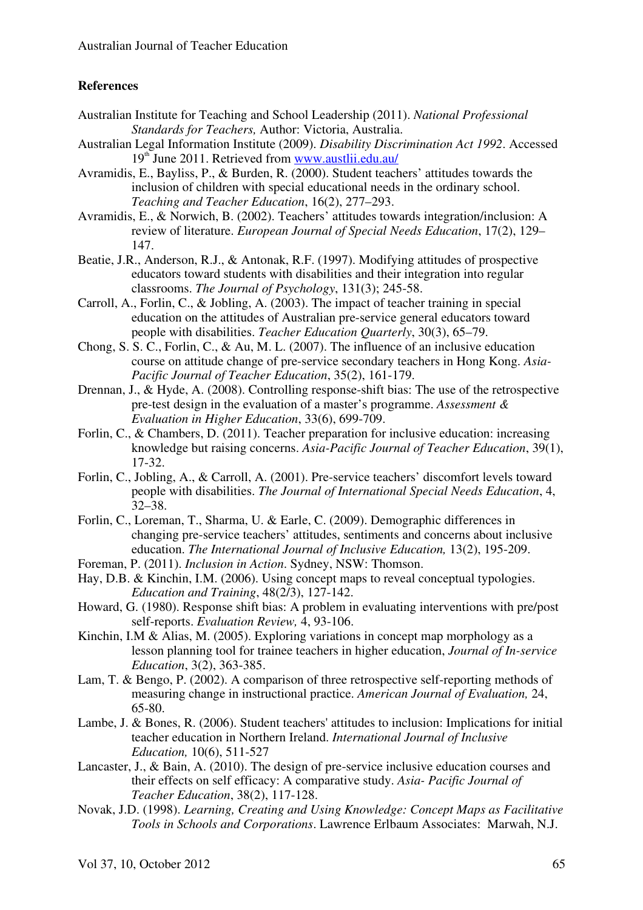## **References**

- Australian Institute for Teaching and School Leadership (2011). *National Professional Standards for Teachers,* Author: Victoria, Australia.
- Australian Legal Information Institute (2009). *Disability Discrimination Act 1992*. Accessed 19<sup>th</sup> June 2011. Retrieved from www.austlii.edu.au/
- Avramidis, E., Bayliss, P., & Burden, R. (2000). Student teachers' attitudes towards the inclusion of children with special educational needs in the ordinary school. *Teaching and Teacher Education*, 16(2), 277–293.
- Avramidis, E., & Norwich, B. (2002). Teachers' attitudes towards integration/inclusion: A review of literature. *European Journal of Special Needs Education*, 17(2), 129– 147.
- Beatie, J.R., Anderson, R.J., & Antonak, R.F. (1997). Modifying attitudes of prospective educators toward students with disabilities and their integration into regular classrooms. *The Journal of Psychology*, 131(3); 245-58.
- Carroll, A., Forlin, C., & Jobling, A. (2003). The impact of teacher training in special education on the attitudes of Australian pre-service general educators toward people with disabilities. *Teacher Education Quarterly*, 30(3), 65–79.
- Chong, S. S. C., Forlin, C., & Au, M. L. (2007). The influence of an inclusive education course on attitude change of pre-service secondary teachers in Hong Kong. *Asia-Pacific Journal of Teacher Education*, 35(2), 161-179.
- Drennan, J., & Hyde, A. (2008). Controlling response-shift bias: The use of the retrospective pre-test design in the evaluation of a master's programme. *Assessment & Evaluation in Higher Education*, 33(6), 699-709.
- Forlin, C., & Chambers, D. (2011). Teacher preparation for inclusive education: increasing knowledge but raising concerns. *Asia-Pacific Journal of Teacher Education*, 39(1), 17-32.
- Forlin, C., Jobling, A., & Carroll, A. (2001). Pre-service teachers' discomfort levels toward people with disabilities. *The Journal of International Special Needs Education*, 4, 32–38.
- Forlin, C., Loreman, T., Sharma, U. & Earle, C. (2009). Demographic differences in changing pre-service teachers' attitudes, sentiments and concerns about inclusive education. *The International Journal of Inclusive Education,* 13(2), 195-209.
- Foreman, P. (2011). *Inclusion in Action*. Sydney, NSW: Thomson.
- Hay, D.B. & Kinchin, I.M. (2006). Using concept maps to reveal conceptual typologies. *Education and Training*, 48(2/3), 127-142.
- Howard, G. (1980). Response shift bias: A problem in evaluating interventions with pre/post self-reports. *Evaluation Review,* 4, 93-106.
- Kinchin, I.M & Alias, M. (2005). Exploring variations in concept map morphology as a lesson planning tool for trainee teachers in higher education, *Journal of In-service Education*, 3(2), 363-385.
- Lam, T. & Bengo, P. (2002). A comparison of three retrospective self-reporting methods of measuring change in instructional practice. *American Journal of Evaluation,* 24, 65-80.
- Lambe, J. & Bones, R. (2006). Student teachers' attitudes to inclusion: Implications for initial teacher education in Northern Ireland. *International Journal of Inclusive Education,* 10(6), 511-527
- Lancaster, J., & Bain, A. (2010). The design of pre-service inclusive education courses and their effects on self efficacy: A comparative study. *Asia- Pacific Journal of Teacher Education*, 38(2), 117-128.
- Novak, J.D. (1998). *Learning, Creating and Using Knowledge: Concept Maps as Facilitative Tools in Schools and Corporations*. Lawrence Erlbaum Associates: Marwah, N.J.